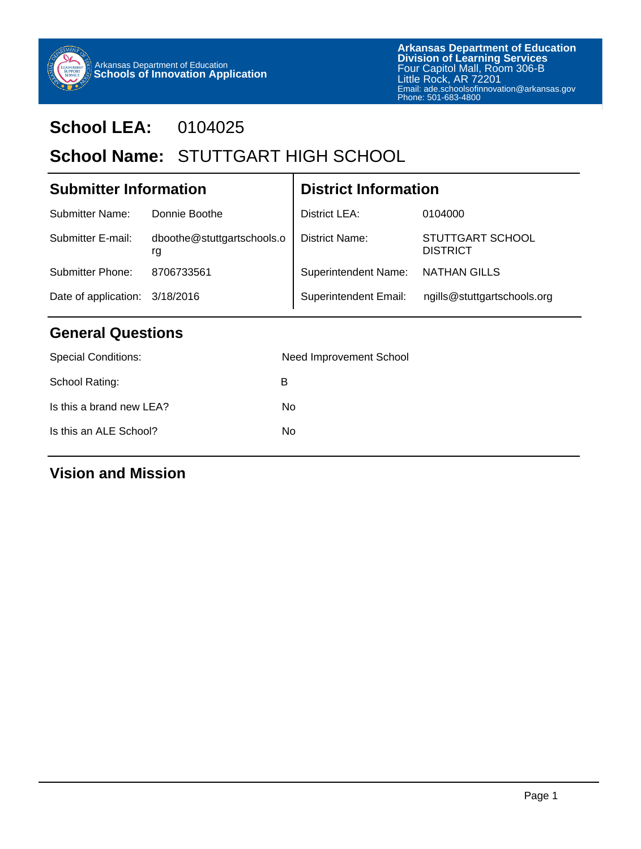

# **School LEA:** 0104025

# School Name: STUTTGART HIGH SCHOOL

| <b>Submitter Information</b>   |                                  | <b>District Information</b>  |                                            |  |
|--------------------------------|----------------------------------|------------------------------|--------------------------------------------|--|
| Submitter Name:                | Donnie Boothe                    | <b>District LEA:</b>         | 0104000                                    |  |
| Submitter E-mail:              | dboothe@stuttgartschools.o<br>rg | District Name:               | <b>STUTTGART SCHOOL</b><br><b>DISTRICT</b> |  |
| Submitter Phone:               | 8706733561                       | <b>Superintendent Name:</b>  | <b>NATHAN GILLS</b>                        |  |
| Date of application: 3/18/2016 |                                  | <b>Superintendent Email:</b> | ngills@stuttgartschools.org                |  |

Т

## **General Questions**

| <b>Special Conditions:</b> | Need Improvement School |
|----------------------------|-------------------------|
| School Rating:             | в                       |
| Is this a brand new LEA?   | No                      |
| Is this an ALE School?     | No                      |
|                            |                         |

### **Vision and Mission**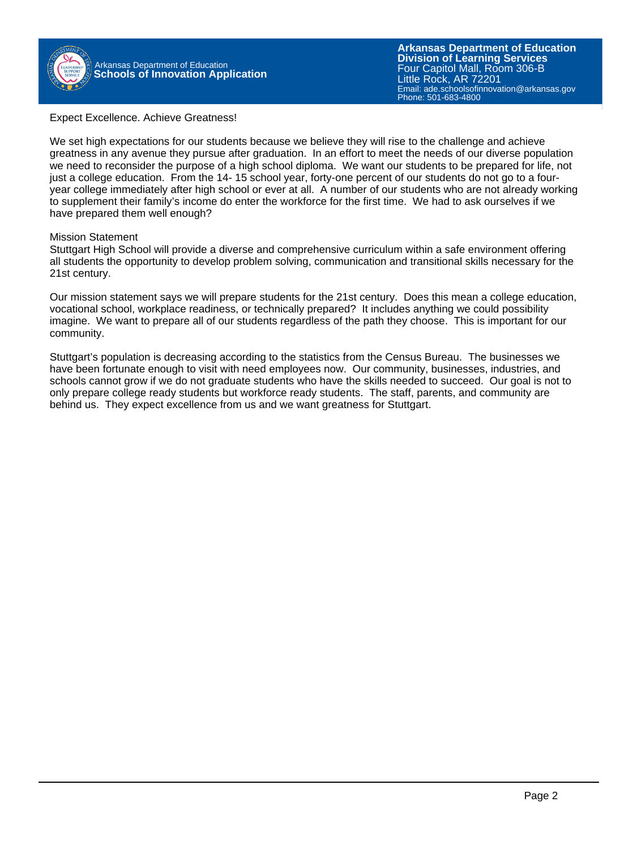

#### Expect Excellence. Achieve Greatness!

We set high expectations for our students because we believe they will rise to the challenge and achieve greatness in any avenue they pursue after graduation. In an effort to meet the needs of our diverse population we need to reconsider the purpose of a high school diploma. We want our students to be prepared for life, not just a college education. From the 14- 15 school year, forty-one percent of our students do not go to a fouryear college immediately after high school or ever at all. A number of our students who are not already working to supplement their family's income do enter the workforce for the first time. We had to ask ourselves if we have prepared them well enough?

#### Mission Statement

Stuttgart High School will provide a diverse and comprehensive curriculum within a safe environment offering all students the opportunity to develop problem solving, communication and transitional skills necessary for the 21st century.

Our mission statement says we will prepare students for the 21st century. Does this mean a college education, vocational school, workplace readiness, or technically prepared? It includes anything we could possibility imagine. We want to prepare all of our students regardless of the path they choose. This is important for our community.

Stuttgart's population is decreasing according to the statistics from the Census Bureau. The businesses we have been fortunate enough to visit with need employees now. Our community, businesses, industries, and schools cannot grow if we do not graduate students who have the skills needed to succeed. Our goal is not to only prepare college ready students but workforce ready students. The staff, parents, and community are behind us. They expect excellence from us and we want greatness for Stuttgart.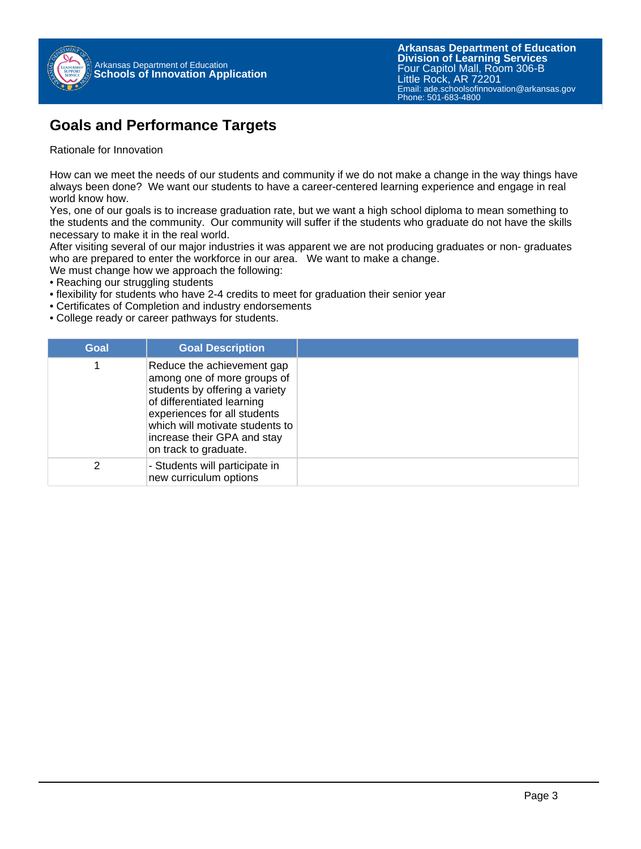

### **Goals and Performance Targets**

Rationale for Innovation

How can we meet the needs of our students and community if we do not make a change in the way things have always been done? We want our students to have a career-centered learning experience and engage in real world know how.

Yes, one of our goals is to increase graduation rate, but we want a high school diploma to mean something to the students and the community. Our community will suffer if the students who graduate do not have the skills necessary to make it in the real world.

After visiting several of our major industries it was apparent we are not producing graduates or non- graduates who are prepared to enter the workforce in our area. We want to make a change.

We must change how we approach the following:

- Reaching our struggling students
- flexibility for students who have 2-4 credits to meet for graduation their senior year
- Certificates of Completion and industry endorsements
- College ready or career pathways for students.

| Goal | <b>Goal Description</b>                                                                                                                                                                                                                              |
|------|------------------------------------------------------------------------------------------------------------------------------------------------------------------------------------------------------------------------------------------------------|
|      | Reduce the achievement gap<br>among one of more groups of<br>students by offering a variety<br>of differentiated learning<br>experiences for all students<br>which will motivate students to<br>increase their GPA and stay<br>on track to graduate. |
| 2    | - Students will participate in<br>new curriculum options                                                                                                                                                                                             |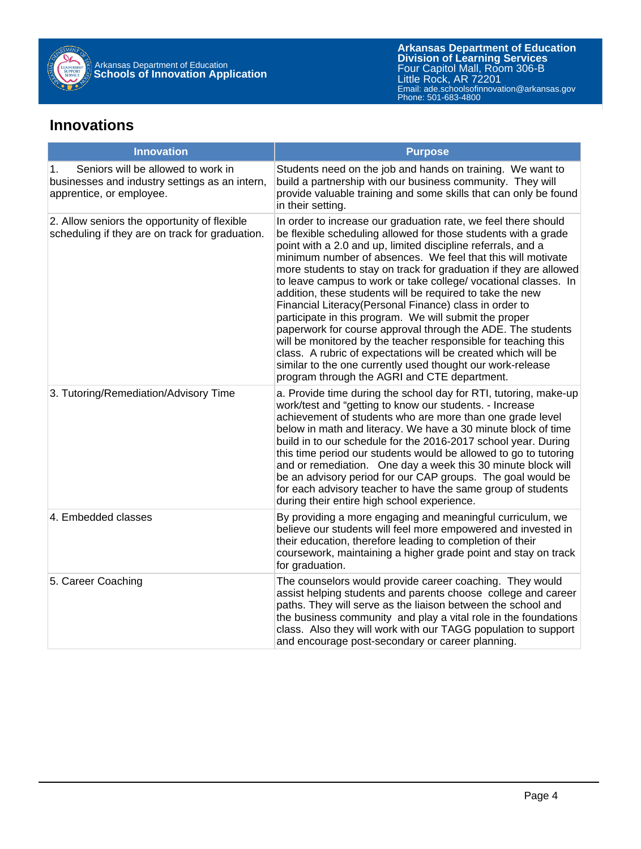

#### **Innovations**

| <b>Innovation</b>                                                                                                      | <b>Purpose</b>                                                                                                                                                                                                                                                                                                                                                                                                                                                                                                                                                                                                                                                                                                                                                                                                                                                                                            |
|------------------------------------------------------------------------------------------------------------------------|-----------------------------------------------------------------------------------------------------------------------------------------------------------------------------------------------------------------------------------------------------------------------------------------------------------------------------------------------------------------------------------------------------------------------------------------------------------------------------------------------------------------------------------------------------------------------------------------------------------------------------------------------------------------------------------------------------------------------------------------------------------------------------------------------------------------------------------------------------------------------------------------------------------|
| Seniors will be allowed to work in<br>1.<br>businesses and industry settings as an intern,<br>apprentice, or employee. | Students need on the job and hands on training. We want to<br>build a partnership with our business community. They will<br>provide valuable training and some skills that can only be found<br>in their setting.                                                                                                                                                                                                                                                                                                                                                                                                                                                                                                                                                                                                                                                                                         |
| 2. Allow seniors the opportunity of flexible<br>scheduling if they are on track for graduation.                        | In order to increase our graduation rate, we feel there should<br>be flexible scheduling allowed for those students with a grade<br>point with a 2.0 and up, limited discipline referrals, and a<br>minimum number of absences. We feel that this will motivate<br>more students to stay on track for graduation if they are allowed<br>to leave campus to work or take college/ vocational classes. In<br>addition, these students will be required to take the new<br>Financial Literacy (Personal Finance) class in order to<br>participate in this program. We will submit the proper<br>paperwork for course approval through the ADE. The students<br>will be monitored by the teacher responsible for teaching this<br>class. A rubric of expectations will be created which will be<br>similar to the one currently used thought our work-release<br>program through the AGRI and CTE department. |
| 3. Tutoring/Remediation/Advisory Time                                                                                  | a. Provide time during the school day for RTI, tutoring, make-up<br>work/test and "getting to know our students. - Increase<br>achievement of students who are more than one grade level<br>below in math and literacy. We have a 30 minute block of time<br>build in to our schedule for the 2016-2017 school year. During<br>this time period our students would be allowed to go to tutoring<br>and or remediation. One day a week this 30 minute block will<br>be an advisory period for our CAP groups. The goal would be<br>for each advisory teacher to have the same group of students<br>during their entire high school experience.                                                                                                                                                                                                                                                             |
| 4. Embedded classes                                                                                                    | By providing a more engaging and meaningful curriculum, we<br>believe our students will feel more empowered and invested in<br>their education, therefore leading to completion of their<br>coursework, maintaining a higher grade point and stay on track<br>for graduation.                                                                                                                                                                                                                                                                                                                                                                                                                                                                                                                                                                                                                             |
| 5. Career Coaching                                                                                                     | The counselors would provide career coaching. They would<br>assist helping students and parents choose college and career<br>paths. They will serve as the liaison between the school and<br>the business community and play a vital role in the foundations<br>class. Also they will work with our TAGG population to support<br>and encourage post-secondary or career planning.                                                                                                                                                                                                                                                                                                                                                                                                                                                                                                                        |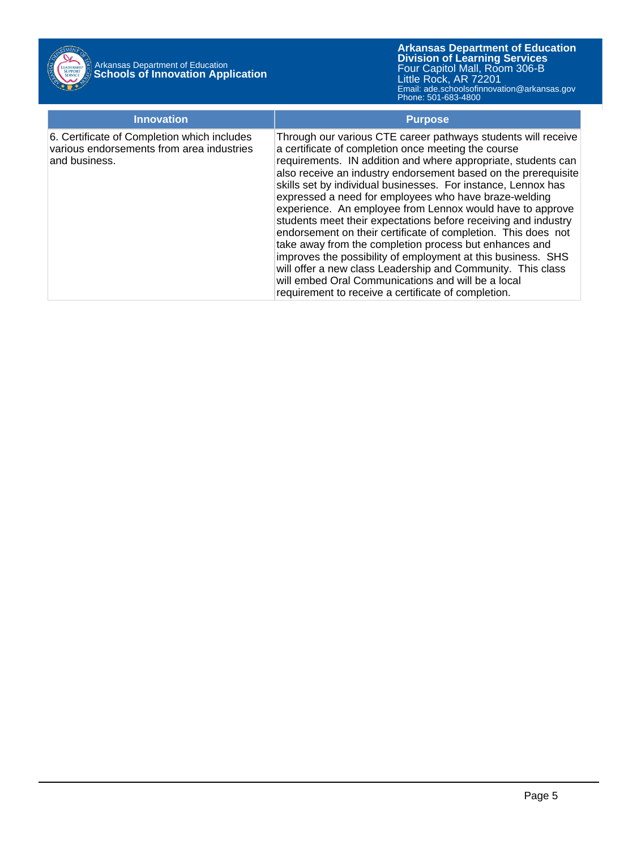

**Arkansas Department of Education** Email: ade.schoolsofinnovation@arkansas.gov **Division of Learning Services** Four Capitol Mall, Room 306-B Little Rock, AR 72201 Phone: 501-683-4800

| <b>Innovation</b>                                                                                         | <b>Purpose</b>                                                                                                                                                                                                                                                                                                                                                                                                                                                                                                                                                                                                                                                                                                                                                                                                                                                                          |
|-----------------------------------------------------------------------------------------------------------|-----------------------------------------------------------------------------------------------------------------------------------------------------------------------------------------------------------------------------------------------------------------------------------------------------------------------------------------------------------------------------------------------------------------------------------------------------------------------------------------------------------------------------------------------------------------------------------------------------------------------------------------------------------------------------------------------------------------------------------------------------------------------------------------------------------------------------------------------------------------------------------------|
| 6. Certificate of Completion which includes<br>various endorsements from area industries<br>and business. | Through our various CTE career pathways students will receive<br>a certificate of completion once meeting the course<br>requirements. IN addition and where appropriate, students can<br>also receive an industry endorsement based on the prerequisite<br>skills set by individual businesses. For instance, Lennox has<br>expressed a need for employees who have braze-welding<br>experience. An employee from Lennox would have to approve<br>students meet their expectations before receiving and industry<br>endorsement on their certificate of completion. This does not<br>take away from the completion process but enhances and<br>improves the possibility of employment at this business. SHS<br>will offer a new class Leadership and Community. This class<br>will embed Oral Communications and will be a local<br>requirement to receive a certificate of completion. |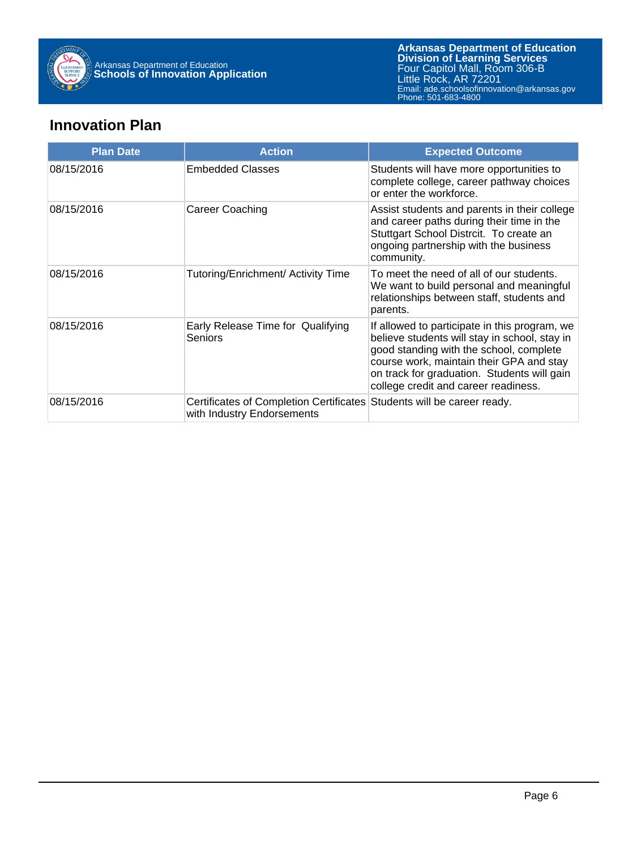

### **Innovation Plan**

| <b>Plan Date</b> | <b>Action</b>                                                                                        | <b>Expected Outcome</b>                                                                                                                                                                                                                                                      |
|------------------|------------------------------------------------------------------------------------------------------|------------------------------------------------------------------------------------------------------------------------------------------------------------------------------------------------------------------------------------------------------------------------------|
| 08/15/2016       | <b>Embedded Classes</b>                                                                              | Students will have more opportunities to<br>complete college, career pathway choices<br>or enter the workforce.                                                                                                                                                              |
| 08/15/2016       | Career Coaching                                                                                      | Assist students and parents in their college<br>and career paths during their time in the<br>Stuttgart School Distrcit. To create an<br>ongoing partnership with the business<br>community.                                                                                  |
| 08/15/2016       | Tutoring/Enrichment/ Activity Time                                                                   | To meet the need of all of our students.<br>We want to build personal and meaningful<br>relationships between staff, students and<br>parents.                                                                                                                                |
| 08/15/2016       | Early Release Time for Qualifying<br>Seniors                                                         | If allowed to participate in this program, we<br>believe students will stay in school, stay in<br>good standing with the school, complete<br>course work, maintain their GPA and stay<br>on track for graduation. Students will gain<br>college credit and career readiness. |
| 08/15/2016       | Certificates of Completion Certificates Students will be career ready.<br>with Industry Endorsements |                                                                                                                                                                                                                                                                              |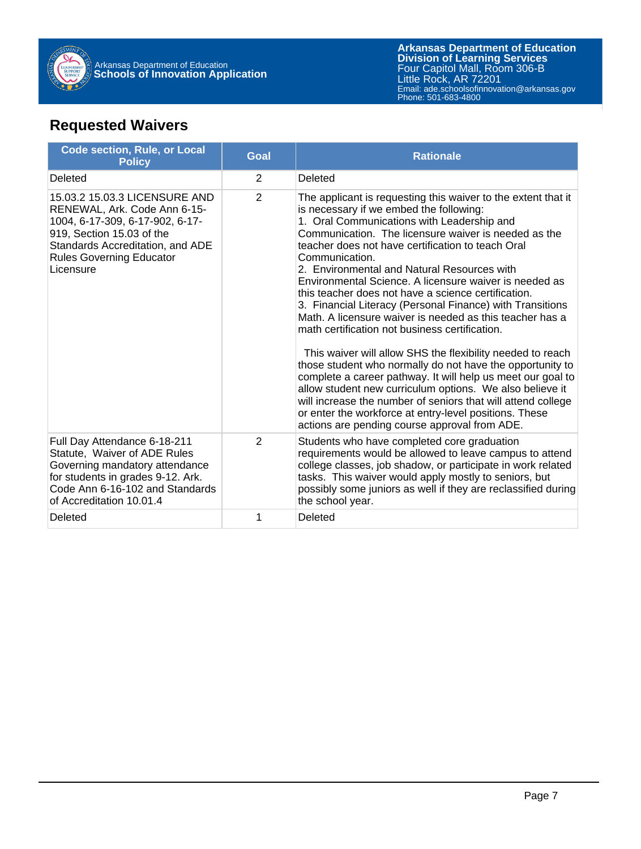

**Arkansas Department of Education** Email: ade.schoolsofinnovation@arkansas.gov **Division of Learning Services** Four Capitol Mall, Room 306-B Little Rock, AR 72201 Phone: 501-683-4800

## **Requested Waivers**

| <b>Code section, Rule, or Local</b><br><b>Policy</b>                                                                                                                                                              | <b>Goal</b>    | <b>Rationale</b>                                                                                                                                                                                                                                                                                                                                                                                                                                                                                                                                                                                                                                                                                                                                                                                                                                                                                                                                                                                                                                                  |
|-------------------------------------------------------------------------------------------------------------------------------------------------------------------------------------------------------------------|----------------|-------------------------------------------------------------------------------------------------------------------------------------------------------------------------------------------------------------------------------------------------------------------------------------------------------------------------------------------------------------------------------------------------------------------------------------------------------------------------------------------------------------------------------------------------------------------------------------------------------------------------------------------------------------------------------------------------------------------------------------------------------------------------------------------------------------------------------------------------------------------------------------------------------------------------------------------------------------------------------------------------------------------------------------------------------------------|
| Deleted                                                                                                                                                                                                           | $\overline{2}$ | Deleted                                                                                                                                                                                                                                                                                                                                                                                                                                                                                                                                                                                                                                                                                                                                                                                                                                                                                                                                                                                                                                                           |
| 15.03.2 15.03.3 LICENSURE AND<br>RENEWAL, Ark. Code Ann 6-15-<br>1004, 6-17-309, 6-17-902, 6-17-<br>919, Section 15.03 of the<br>Standards Accreditation, and ADE<br><b>Rules Governing Educator</b><br>Licensure | 2              | The applicant is requesting this waiver to the extent that it<br>is necessary if we embed the following:<br>1. Oral Communications with Leadership and<br>Communication. The licensure waiver is needed as the<br>teacher does not have certification to teach Oral<br>Communication.<br>2. Environmental and Natural Resources with<br>Environmental Science. A licensure waiver is needed as<br>this teacher does not have a science certification.<br>3. Financial Literacy (Personal Finance) with Transitions<br>Math. A licensure waiver is needed as this teacher has a<br>math certification not business certification.<br>This waiver will allow SHS the flexibility needed to reach<br>those student who normally do not have the opportunity to<br>complete a career pathway. It will help us meet our goal to<br>allow student new curriculum options. We also believe it<br>will increase the number of seniors that will attend college<br>or enter the workforce at entry-level positions. These<br>actions are pending course approval from ADE. |
| Full Day Attendance 6-18-211<br>Statute, Waiver of ADE Rules<br>Governing mandatory attendance<br>for students in grades 9-12. Ark.<br>Code Ann 6-16-102 and Standards<br>of Accreditation 10.01.4                | $\overline{2}$ | Students who have completed core graduation<br>requirements would be allowed to leave campus to attend<br>college classes, job shadow, or participate in work related<br>tasks. This waiver would apply mostly to seniors, but<br>possibly some juniors as well if they are reclassified during<br>the school year.                                                                                                                                                                                                                                                                                                                                                                                                                                                                                                                                                                                                                                                                                                                                               |
| Deleted                                                                                                                                                                                                           | 1              | Deleted                                                                                                                                                                                                                                                                                                                                                                                                                                                                                                                                                                                                                                                                                                                                                                                                                                                                                                                                                                                                                                                           |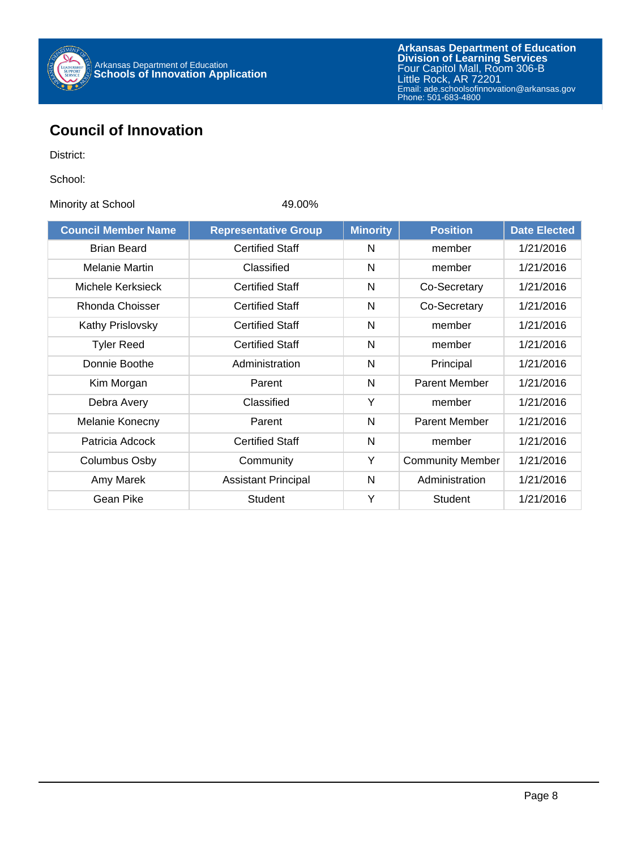

## **Council of Innovation**

District:

School:

Minority at School 49.00%

| <b>Council Member Name</b> | <b>Representative Group</b> | <b>Minority</b> | <b>Position</b>         | <b>Date Elected</b> |
|----------------------------|-----------------------------|-----------------|-------------------------|---------------------|
| <b>Brian Beard</b>         | <b>Certified Staff</b>      | N               | member                  | 1/21/2016           |
| <b>Melanie Martin</b>      | Classified                  | N               | member                  | 1/21/2016           |
| Michele Kerksieck          | <b>Certified Staff</b>      | N               | Co-Secretary            | 1/21/2016           |
| Rhonda Choisser            | <b>Certified Staff</b>      | N               | Co-Secretary            | 1/21/2016           |
| <b>Kathy Prislovsky</b>    | <b>Certified Staff</b>      | N               | member                  | 1/21/2016           |
| <b>Tyler Reed</b>          | <b>Certified Staff</b>      | N               | member                  | 1/21/2016           |
| Donnie Boothe              | Administration              | N               | Principal               | 1/21/2016           |
| Kim Morgan                 | Parent                      | N               | <b>Parent Member</b>    | 1/21/2016           |
| Debra Avery                | Classified                  | Υ               | member                  | 1/21/2016           |
| Melanie Konecny            | Parent                      | N               | <b>Parent Member</b>    | 1/21/2016           |
| Patricia Adcock            | <b>Certified Staff</b>      | N               | member                  | 1/21/2016           |
| Columbus Osby              | Community                   | Y               | <b>Community Member</b> | 1/21/2016           |
| Amy Marek                  | <b>Assistant Principal</b>  | N               | Administration          | 1/21/2016           |
| Gean Pike                  | <b>Student</b>              | Υ               | <b>Student</b>          | 1/21/2016           |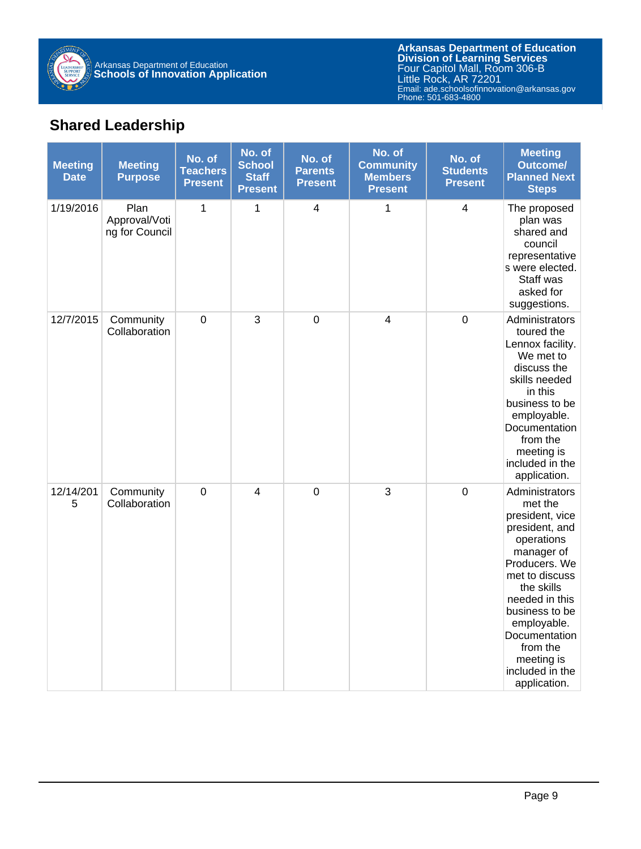

**Arkansas Department of Education** Email: ade.schoolsofinnovation@arkansas.gov **Division of Learning Services** Four Capitol Mall, Room 306-B Little Rock, AR 72201 Phone: 501-683-4800

## **Shared Leadership**

| <b>Meeting</b><br><b>Date</b> | <b>Meeting</b><br><b>Purpose</b>        | No. of<br><b>Teachers</b><br><b>Present</b> | No. of<br><b>School</b><br><b>Staff</b><br><b>Present</b> | No. of<br><b>Parents</b><br><b>Present</b> | No. of<br><b>Community</b><br><b>Members</b><br><b>Present</b> | No. of<br><b>Students</b><br><b>Present</b> | <b>Meeting</b><br><b>Outcome/</b><br><b>Planned Next</b><br><b>Steps</b>                                                                                                                                                                                                     |
|-------------------------------|-----------------------------------------|---------------------------------------------|-----------------------------------------------------------|--------------------------------------------|----------------------------------------------------------------|---------------------------------------------|------------------------------------------------------------------------------------------------------------------------------------------------------------------------------------------------------------------------------------------------------------------------------|
| 1/19/2016                     | Plan<br>Approval/Voti<br>ng for Council | 1                                           | 1                                                         | $\overline{\mathbf{4}}$                    | 1                                                              | 4                                           | The proposed<br>plan was<br>shared and<br>council<br>representative<br>s were elected.<br>Staff was<br>asked for<br>suggestions.                                                                                                                                             |
| 12/7/2015                     | Community<br>Collaboration              | $\boldsymbol{0}$                            | 3                                                         | $\mathbf 0$                                | $\overline{\mathbf{4}}$                                        | $\mathbf 0$                                 | Administrators<br>toured the<br>Lennox facility.<br>We met to<br>discuss the<br>skills needed<br>in this<br>business to be<br>employable.<br>Documentation<br>from the<br>meeting is<br>included in the<br>application.                                                      |
| 12/14/201<br>5                | Community<br>Collaboration              | $\mathbf 0$                                 | 4                                                         | $\mathbf 0$                                | 3                                                              | $\mathbf 0$                                 | Administrators<br>met the<br>president, vice<br>president, and<br>operations<br>manager of<br>Producers. We<br>met to discuss<br>the skills<br>needed in this<br>business to be<br>employable.<br>Documentation<br>from the<br>meeting is<br>included in the<br>application. |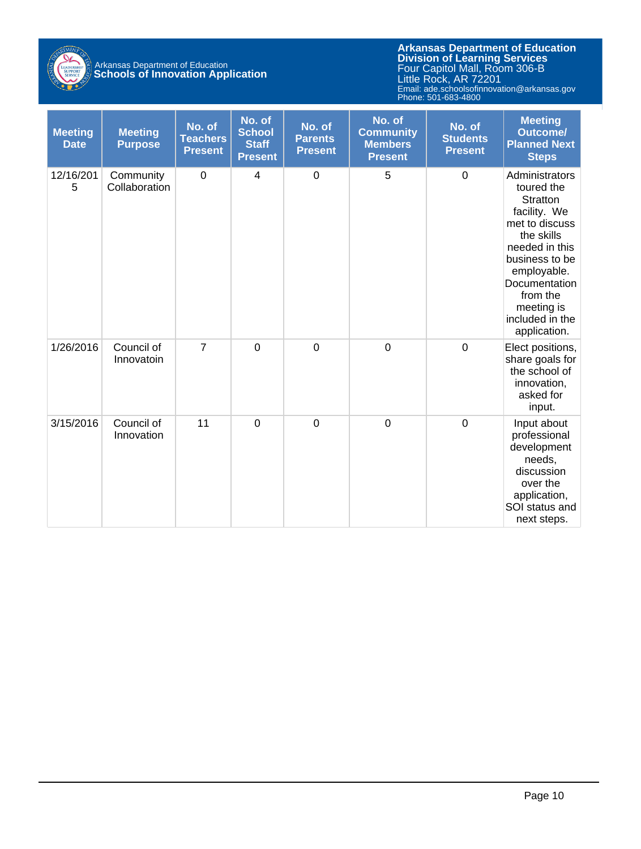

# Arkansas Department of Education **Schools of Innovation Application**

**Arkansas Department of Education** Email: ade.schoolsofinnovation@arkansas.gov **Division of Learning Services** Four Capitol Mall, Room 306-B Little Rock, AR 72201 Phone: 501-683-4800

| <b>Meeting</b><br><b>Date</b> | <b>Meeting</b><br><b>Purpose</b> | No. of<br><b>Teachers</b><br><b>Present</b> | No. of<br><b>School</b><br><b>Staff</b><br><b>Present</b> | No. of<br><b>Parents</b><br><b>Present</b> | No. of<br><b>Community</b><br><b>Members</b><br><b>Present</b> | No. of<br><b>Students</b><br><b>Present</b> | <b>Meeting</b><br><b>Outcome/</b><br><b>Planned Next</b><br><b>Steps</b>                                                                                                                                                  |
|-------------------------------|----------------------------------|---------------------------------------------|-----------------------------------------------------------|--------------------------------------------|----------------------------------------------------------------|---------------------------------------------|---------------------------------------------------------------------------------------------------------------------------------------------------------------------------------------------------------------------------|
| 12/16/201<br>5                | Community<br>Collaboration       | $\mathbf 0$                                 | 4                                                         | $\boldsymbol{0}$                           | 5                                                              | $\mathbf 0$                                 | Administrators<br>toured the<br>Stratton<br>facility. We<br>met to discuss<br>the skills<br>needed in this<br>business to be<br>employable.<br>Documentation<br>from the<br>meeting is<br>included in the<br>application. |
| 1/26/2016                     | Council of<br>Innovatoin         | $\overline{7}$                              | $\overline{0}$                                            | $\mathbf 0$                                | $\mathbf 0$                                                    | $\mathbf 0$                                 | Elect positions,<br>share goals for<br>the school of<br>innovation,<br>asked for<br>input.                                                                                                                                |
| 3/15/2016                     | Council of<br>Innovation         | 11                                          | $\mathbf 0$                                               | $\mathbf 0$                                | $\mathbf 0$                                                    | $\mathbf 0$                                 | Input about<br>professional<br>development<br>needs,<br>discussion<br>over the<br>application,<br>SOI status and<br>next steps.                                                                                           |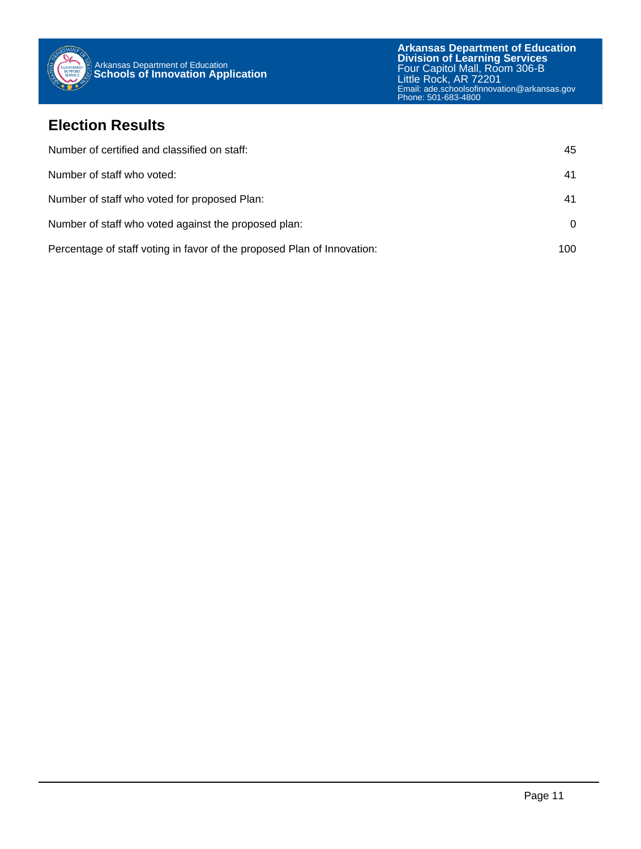

### **Election Results**

| Number of certified and classified on staff:                            | 45       |
|-------------------------------------------------------------------------|----------|
| Number of staff who voted:                                              | 41       |
| Number of staff who voted for proposed Plan:                            | 41       |
| Number of staff who voted against the proposed plan:                    | $\Omega$ |
| Percentage of staff voting in favor of the proposed Plan of Innovation: | 100      |